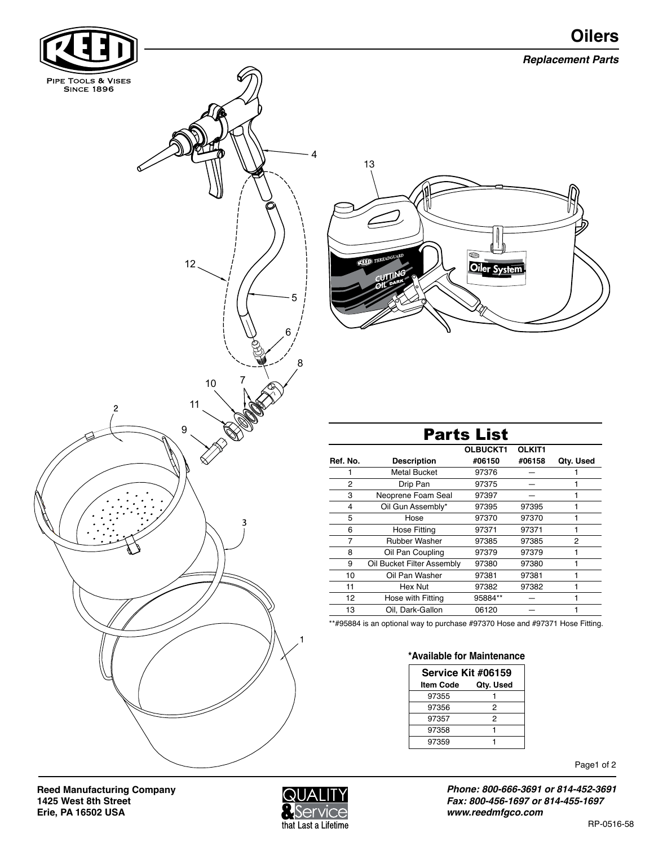



**Reed Manufacturing Company 1425 West 8th Street Erie, PA 16502 USA** 



Page1 of 2

*Phone: 800-666-3691 or 814-452-3691 Fax: 800-456-1697 or 814-455-1697 www.reedmfgco.com*